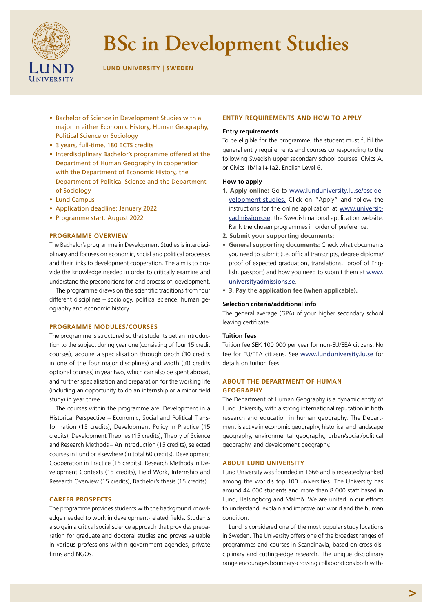

# **BSc in Development Studies**

**LUND UNIVERSITY | SWEDEN** 

- Bachelor of Science in Development Studies with a major in either Economic History, Human Geography, Political Science or Sociology
- 3 years, full-time, 180 ECTS credits
- Interdisciplinary Bachelor's programme offered at the Department of Human Geography in cooperation with the Department of Economic History, the Department of Political Science and the Department of Sociology
- Lund Campus
- Application deadline: January 2022
- Programme start: August 2022

# **PROGRAMME OVERVIEW**

The Bachelor's programme in Development Studies is interdisciplinary and focuses on economic, social and political processes and their links to development cooperation. The aim is to provide the knowledge needed in order to critically examine and understand the preconditions for, and process of, development.

The programme draws on the scientific traditions from four different disciplines – sociology, political science, human geography and economic history.

## **PROGRAMME MODULES/COURSES**

The programme is structured so that students get an introduction to the subject during year one (consisting of four 15 credit courses), acquire a specialisation through depth (30 credits in one of the four major disciplines) and width (30 credits optional courses) in year two, which can also be spent abroad, and further specialisation and preparation for the working life (including an opportunity to do an internship or a minor field study) in year three.

The courses within the programme are: Development in a Historical Perspective – Economic, Social and Political Transformation (15 credits), Development Policy in Practice (15 credits), Development Theories (15 credits), Theory of Science and Research Methods – An Introduction (15 credits), selected courses in Lund or elsewhere (in total 60 credits), Development Cooperation in Practice (15 credits), Research Methods in Development Contexts (15 credits), Field Work, Internship and Research Overview (15 credits), Bachelor's thesis (15 credits).

## **CAREER PROSPECTS**

The programme provides students with the background knowledge needed to work in development-related fields. Students also gain a critical social science approach that provides preparation for graduate and doctoral studies and proves valuable in various professions within government agencies, private firms and NGOs.

# **ENTRY REQUIREMENTS AND HOW TO APPLY**

## **Entry requirements**

To be eligible for the programme, the student must fulfil the general entry requirements and courses corresponding to the following Swedish upper secondary school courses: Civics A, or Civics 1b/1a1+1a2. English Level 6.

# **How to apply**

- **1. Apply online:** Go to [www.lunduniversity.lu.se/bsc-de](http://www.lunduniversity.lu.se/bsc-development-studies)[velopment-studies](http://www.lunduniversity.lu.se/bsc-development-studies)[.](http://www.lunduniversity.lu.se/cultural-criminology.) Click on "Apply" and follow the instructions for the online application at [www.universit](https://www.universityadmissions.se)[yadmissions.se](https://www.universityadmissions.se), the Swedish national application website. Rank the chosen programmes in order of preference.
- **2. Submit your supporting documents:**
- **• General supporting documents:** Check what documents you need to submit (i.e. official transcripts, degree diploma/ proof of expected graduation, translations, proof of English, passport) and how you need to submit them at [www.](https://www.universityadmissions.se) [universityadmissions.se](https://www.universityadmissions.se).
- **• 3. Pay the application fee (when applicable).**

## **Selection criteria/additional info**

The general average (GPA) of your higher secondary school leaving certificate.

## **Tuition fees**

Tuition fee SEK 100 000 per year for non-EU/EEA citizens. No fee for EU/EEA citizens. See [www.lunduniversity.lu.se](https://www.lunduniversity.lu.se) for details on tuition fees.

# **ABOUT THE DEPARTMENT OF HUMAN GEOGRAPHY**

The Department of Human Geography is a dynamic entity of Lund University, with a strong international reputation in both research and education in human geography. The Department is active in economic geography, historical and landscape geography, environmental geography, urban/social/political geography, and development geography.

#### **ABOUT LUND UNIVERSITY**

Lund University was founded in 1666 and is repeatedly ranked among the world's top 100 universities. The University has around 44 000 students and more than 8 000 staff based in Lund, Helsingborg and Malmö. We are united in our efforts to understand, explain and improve our world and the human condition.

Lund is considered one of the most popular study locations in Sweden. The University offers one of the broadest ranges of programmes and courses in Scandinavia, based on cross-disciplinary and cutting-edge research. The unique disciplinary range encourages boundary-crossing collaborations both with-